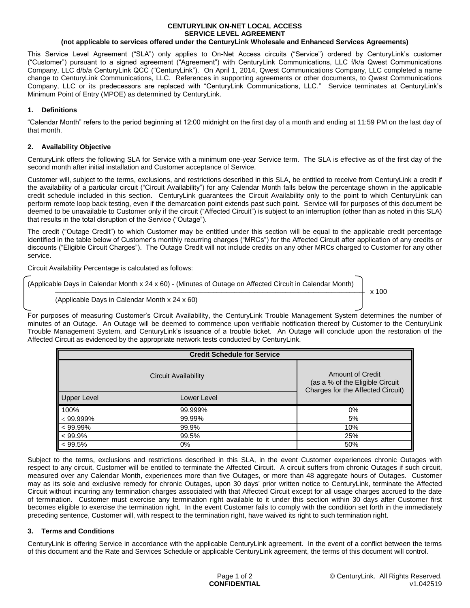# **CENTURYLINK ON-NET LOCAL ACCESS SERVICE LEVEL AGREEMENT**

### **(not applicable to services offered under the CenturyLink Wholesale and Enhanced Services Agreements)**

This Service Level Agreement ("SLA") only applies to On-Net Access circuits ("Service") ordered by CenturyLink's customer ("Customer") pursuant to a signed agreement ("Agreement") with CenturyLink Communications, LLC f/k/a Qwest Communications Company, LLC d/b/a CenturyLink QCC ("CenturyLink"). On April 1, 2014, Qwest Communications Company, LLC completed a name change to CenturyLink Communications, LLC. References in supporting agreements or other documents, to Qwest Communications Company, LLC or its predecessors are replaced with "CenturyLink Communications, LLC." Service terminates at CenturyLink's Minimum Point of Entry (MPOE) as determined by CenturyLink.

### **1. Definitions**

"Calendar Month" refers to the period beginning at 12:00 midnight on the first day of a month and ending at 11:59 PM on the last day of that month.

### **2. Availability Objective**

CenturyLink offers the following SLA for Service with a minimum one-year Service term. The SLA is effective as of the first day of the second month after initial installation and Customer acceptance of Service.

Customer will, subject to the terms, exclusions, and restrictions described in this SLA, be entitled to receive from CenturyLink a credit if the availability of a particular circuit ("Circuit Availability") for any Calendar Month falls below the percentage shown in the applicable credit schedule included in this section. CenturyLink guarantees the Circuit Availability only to the point to which CenturyLink can perform remote loop back testing, even if the demarcation point extends past such point. Service will for purposes of this document be deemed to be unavailable to Customer only if the circuit ("Affected Circuit") is subject to an interruption (other than as noted in this SLA) that results in the total disruption of the Service ("Outage").

The credit ("Outage Credit") to which Customer may be entitled under this section will be equal to the applicable credit percentage identified in the table below of Customer's monthly recurring charges ("MRCs") for the Affected Circuit after application of any credits or discounts ("Eligible Circuit Charges"). The Outage Credit will not include credits on any other MRCs charged to Customer for any other service.

Circuit Availability Percentage is calculated as follows:

(Applicable Days in Calendar Month x 24 x 60) - (Minutes of Outage on Affected Circuit in Calendar Month)

\_\_\_\_\_\_\_\_\_\_\_\_\_\_\_\_\_\_\_\_\_\_\_\_\_\_\_\_\_\_\_\_\_\_\_\_\_\_\_\_\_\_\_\_\_\_\_\_\_\_\_\_\_\_\_\_\_\_\_\_\_\_\_\_\_\_\_\_\_\_\_\_\_\_\_\_\_\_\_\_\_\_\_\_\_\_\_\_\_\_\_\_\_\_\_\_\_\_\_\_\_\_\_\_\_\_\_\_\_\_\_\_\_\_\_\_\_\_\_\_\_ x 100

(Applicable Days in Calendar Month x 24 x 60)

For purposes of measuring Customer's Circuit Availability, the CenturyLink Trouble Management System determines the number of minutes of an Outage. An Outage will be deemed to commence upon verifiable notification thereof by Customer to the CenturyLink Trouble Management System, and CenturyLink's issuance of a trouble ticket. An Outage will conclude upon the restoration of the Affected Circuit as evidenced by the appropriate network tests conducted by CenturyLink.

| <b>Credit Schedule for Service</b> |             |                                                                                                 |
|------------------------------------|-------------|-------------------------------------------------------------------------------------------------|
| Circuit Availability               |             | <b>Amount of Credit</b><br>(as a % of the Eligible Circuit<br>Charges for the Affected Circuit) |
| Upper Level                        | Lower Level |                                                                                                 |
| 100%                               | 99.999%     | 0%                                                                                              |
| $< 99.999\%$                       | 99.99%      | 5%                                                                                              |
| $< 99.99\%$                        | 99.9%       | 10%                                                                                             |
| $< 99.9\%$                         | 99.5%       | 25%                                                                                             |
| $\blacktriangleright$ < 99.5%      | 0%          | 50%                                                                                             |

Subject to the terms, exclusions and restrictions described in this SLA, in the event Customer experiences chronic Outages with respect to any circuit, Customer will be entitled to terminate the Affected Circuit. A circuit suffers from chronic Outages if such circuit, measured over any Calendar Month, experiences more than five Outages, or more than 48 aggregate hours of Outages. Customer may as its sole and exclusive remedy for chronic Outages, upon 30 days' prior written notice to CenturyLink, terminate the Affected Circuit without incurring any termination charges associated with that Affected Circuit except for all usage charges accrued to the date of termination. Customer must exercise any termination right available to it under this section within 30 days after Customer first becomes eligible to exercise the termination right. In the event Customer fails to comply with the condition set forth in the immediately preceding sentence, Customer will, with respect to the termination right, have waived its right to such termination right.

### **3. Terms and Conditions**

CenturyLink is offering Service in accordance with the applicable CenturyLink agreement. In the event of a conflict between the terms of this document and the Rate and Services Schedule or applicable CenturyLink agreement, the terms of this document will control.